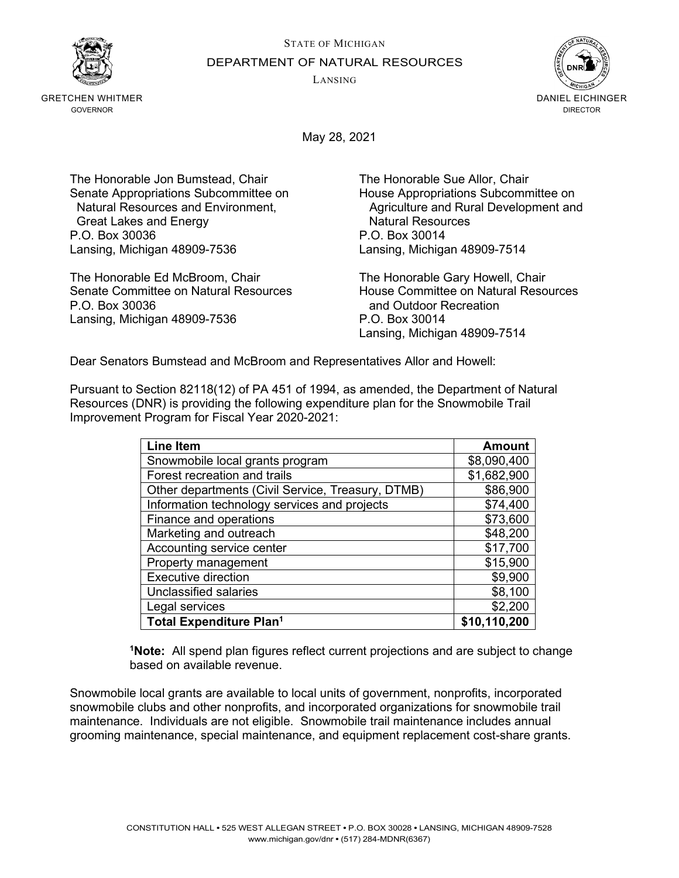STATE OF MICHIGAN DEPARTMENT OF NATURAL RESOURCES

LANSING



GRETCHEN WHITMER GOVERNOR



May 28, 2021

The Honorable Jon Bumstead, Chair The Honorable Sue Allor, Chair Senate Appropriations Subcommittee on House Appropriations Subcommittee on **Great Lakes and Energy** P.O. Box 30036 P.O. Box 30014 Lansing, Michigan 48909-7536 Lansing, Michigan 48909-7514

The Honorable Ed McBroom, Chair The Honorable Gary Howell, Chair P.O. Box 30036 **and Outdoor Recreation** Lansing, Michigan 48909-7536 P.O. Box 30014

Natural Resources and Environment, Agriculture and Rural Development and Great Lakes and Energy

House Committee on Natural Resources Lansing, Michigan 48909-7514

Dear Senators Bumstead and McBroom and Representatives Allor and Howell:

Pursuant to Section 82118(12) of PA 451 of 1994, as amended, the Department of Natural Resources (DNR) is providing the following expenditure plan for the Snowmobile Trail Improvement Program for Fiscal Year 2020-2021:

| <b>Line Item</b>                                  | <b>Amount</b> |
|---------------------------------------------------|---------------|
| Snowmobile local grants program                   | \$8,090,400   |
| Forest recreation and trails                      | \$1,682,900   |
| Other departments (Civil Service, Treasury, DTMB) | \$86,900      |
| Information technology services and projects      | \$74,400      |
| Finance and operations                            | \$73,600      |
| Marketing and outreach                            | \$48,200      |
| Accounting service center                         | \$17,700      |
| Property management                               | \$15,900      |
| <b>Executive direction</b>                        | \$9,900       |
| Unclassified salaries                             | \$8,100       |
| Legal services                                    | \$2,200       |
| <b>Total Expenditure Plan<sup>1</sup></b>         | \$10,110,200  |

**1 Note:** All spend plan figures reflect current projections and are subject to change based on available revenue.

Snowmobile local grants are available to local units of government, nonprofits, incorporated snowmobile clubs and other nonprofits, and incorporated organizations for snowmobile trail maintenance. Individuals are not eligible. Snowmobile trail maintenance includes annual grooming maintenance, special maintenance, and equipment replacement cost-share grants.